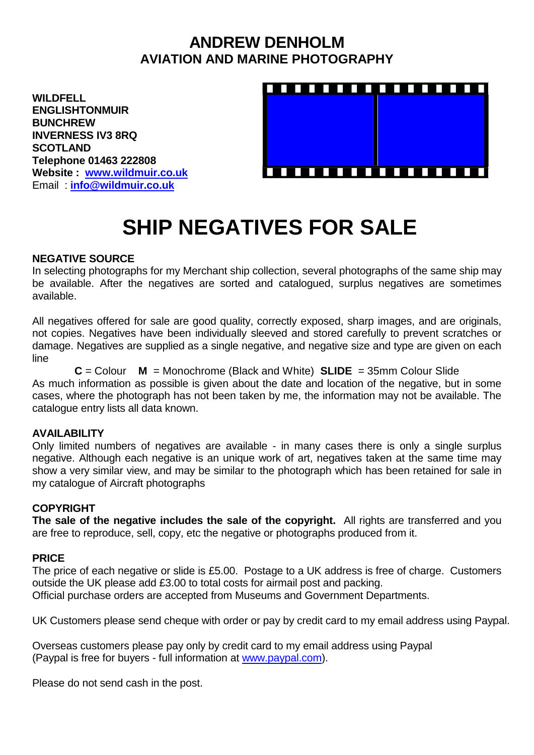## **ANDREW DENHOLM AVIATION AND MARINE PHOTOGRAPHY**

**WILDFELL ENGLISHTONMUIR BUNCHREW INVERNESS IV3 8RQ SCOTLAND Telephone 01463 222808 Website : [www.wildmuir.co.uk](http://www.wildmuir.co.uk/)** Email : **[info@wildmuir.co.uk](mailto:info@wildmuir.co.uk)**



# **SHIP NEGATIVES FOR SALE**

### **NEGATIVE SOURCE**

In selecting photographs for my Merchant ship collection, several photographs of the same ship may be available. After the negatives are sorted and catalogued, surplus negatives are sometimes available.

All negatives offered for sale are good quality, correctly exposed, sharp images, and are originals, not copies. Negatives have been individually sleeved and stored carefully to prevent scratches or damage. Negatives are supplied as a single negative, and negative size and type are given on each line

**C** = Colour **M** = Monochrome (Black and White) **SLIDE** = 35mm Colour Slide As much information as possible is given about the date and location of the negative, but in some cases, where the photograph has not been taken by me, the information may not be available. The catalogue entry lists all data known.

### **AVAILABILITY**

Only limited numbers of negatives are available - in many cases there is only a single surplus negative. Although each negative is an unique work of art, negatives taken at the same time may show a very similar view, and may be similar to the photograph which has been retained for sale in my catalogue of Aircraft photographs

### **COPYRIGHT**

**The sale of the negative includes the sale of the copyright.** All rights are transferred and you are free to reproduce, sell, copy, etc the negative or photographs produced from it.

### **PRICE**

The price of each negative or slide is £5.00. Postage to a UK address is free of charge. Customers outside the UK please add £3.00 to total costs for airmail post and packing. Official purchase orders are accepted from Museums and Government Departments.

UK Customers please send cheque with order or pay by credit card to my email address using Paypal.

Overseas customers please pay only by credit card to my email address using Paypal (Paypal is free for buyers - full information at [www.paypal.com\)](http://www.paypal.com/).

Please do not send cash in the post.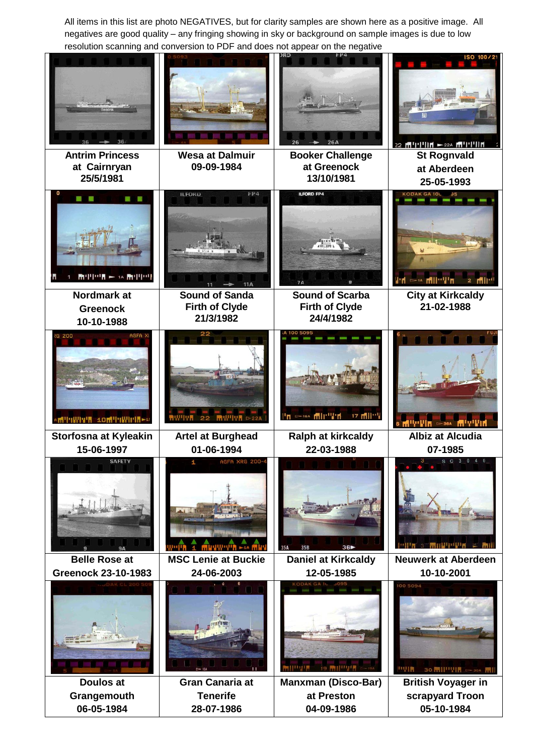All items in this list are photo NEGATIVES, but for clarity samples are shown here as a positive image. All negatives are good quality – any fringing showing in sky or background on sample images is due to low resolution scanning and conversion to PDF and does not appear on the negative

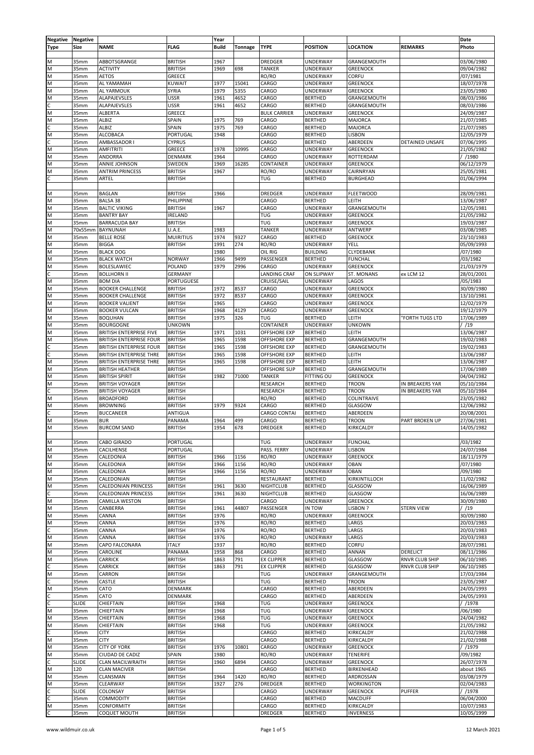| Negative | <b>Negative</b>  |                                |                   | Year         |         |                     |                   |                   |                        | Date       |
|----------|------------------|--------------------------------|-------------------|--------------|---------|---------------------|-------------------|-------------------|------------------------|------------|
| Type     | Size             | <b>NAME</b>                    | <b>FLAG</b>       | <b>Build</b> | Tonnage | <b>TYPE</b>         | <b>POSITION</b>   | <b>LOCATION</b>   | <b>REMARKS</b>         | Photo      |
|          |                  |                                |                   |              |         |                     |                   |                   |                        |            |
|          |                  |                                |                   |              |         |                     |                   | GRANGFMOUTH       |                        |            |
| M        | 35mm             | ABBOTSGRANGE                   | <b>BRITISH</b>    | 1967         |         | <b>DREDGER</b>      | UNDERWAY          |                   |                        | 03/06/1980 |
| N        | 35mm             | <b>ACTIVITY</b>                | <b>BRITISH</b>    | 1969         | 698     | <b>TANKER</b>       | UNDERWAY          | <b>GREENOCK</b>   |                        | 09/04/1982 |
| M        | 35mm             | <b>AETOS</b>                   | GREECE            |              |         | RO/RO               | UNDERWAY          | CORFU             |                        | /07/1981   |
| M        | 35mm             | AL YAMAMAH                     | <b>KUWAIT</b>     | 1977         | 15041   | CARGO               | UNDERWAY          | <b>GREENOCK</b>   |                        | 18/07/1978 |
| M        | 35mm             | AL YARMOUK                     | SYRIA             | 1979         | 5355    | CARGO               | UNDERWAY          | <b>GREENOCK</b>   |                        | 23/05/1980 |
| M        | 35mm             | <b>ALAPAJEVSLES</b>            | <b>USSR</b>       | 1961         | 4652    | CARGO               | <b>BERTHED</b>    | GRANGEMOUTH       |                        | 08/03/1986 |
|          | 35mm             | <b>ALAPAJEVSLES</b>            | <b>USSR</b>       | 1961         | 4652    | CARGO               | <b>BERTHED</b>    | GRANGEMOUTH       |                        | 08/03/1986 |
| M        | 35mm             | ALBERTA                        | GREECE            |              |         | <b>BULK CARRIER</b> | UNDERWAY          | <b>GREENOCK</b>   |                        | 24/09/1987 |
| M        | 35mm             | <b>ALBIZ</b>                   | SPAIN             | 1975         | 769     | CARGO               | <b>BERTHED</b>    | MAJORCA           |                        | 21/07/1985 |
| Ċ        | 35mm             | ALBIZ                          | SPAIN             | 1975         | 769     | CARGO               | <b>BERTHED</b>    | MAJORCA           |                        | 21/07/1985 |
| M        | 35mm             | <b>ALCOBACA</b>                | PORTUGAL          | 1948         |         | CARGO               | <b>BERTHED</b>    | <b>LISBON</b>     |                        | 12/05/1979 |
| C        | 35mm             | AMBASSADOR I                   | <b>CYPRUS</b>     |              |         | CARGO               | <b>BERTHED</b>    | ABERDEEN          | DETAINED UNSAFE        |            |
|          |                  |                                |                   |              |         |                     |                   |                   |                        | 07/06/1995 |
| M        | 35mm             | <b>AMFITRITI</b>               | GREECE            | 1978         | 10995   | CARGO               | <b>UNDERWAY</b>   | <b>GREENOCK</b>   |                        | 21/05/1982 |
| M        | 35mm             | ANDORRA                        | DENMARK           | 1964         |         | CARGO               | UNDERWAY          | ROTTERDAM         |                        | / /1980    |
| M        | 35mm             | ANNIE JOHNSON                  | SWEDEN            | 1969         | 16285   | CONTAINER           | UNDERWAY          | <b>GREENOCK</b>   |                        | 06/12/1979 |
| M        | 35mm             | <b>ANTRIM PRINCESS</b>         | <b>BRITISH</b>    | 1967         |         | RO/RO               | UNDERWAY          | CAIRNRYAN         |                        | 25/05/1981 |
| C        | 35mm             | ARTEL                          | <b>BRITISH</b>    |              |         | TUG                 | <b>BERTHED</b>    | <b>BURGHEAD</b>   |                        | 01/06/1994 |
|          |                  |                                |                   |              |         |                     |                   |                   |                        |            |
| M        | 35mm             | <b>BAGLAN</b>                  | <b>BRITISH</b>    | 1966         |         | <b>DREDGER</b>      | UNDERWAY          | <b>FLEETWOOD</b>  |                        | 28/09/1981 |
| M        | 35mm             | BALSA 38                       | PHILIPPINE        |              |         | CARGO               | <b>BERTHED</b>    | LEITH             |                        | 13/06/1987 |
| M        | 35mm             | <b>BALTIC VIKING</b>           | <b>BRITISH</b>    | 1967         |         | CARGO               | UNDERWAY          | GRANGEMOUTH       |                        | 12/05/1981 |
| M        | 35mm             | <b>BANTRY BAY</b>              | IRELAND           |              |         | TUG                 | UNDERWAY          | <b>GREENOCK</b>   |                        | 21/05/1982 |
| M        | 35mm             | <b>BARRACUDA BAY</b>           | <b>BRITISH</b>    |              |         | TUG                 |                   | <b>GREENOCK</b>   |                        |            |
|          |                  |                                |                   |              |         |                     | UNDERWAY          |                   |                        | 19/03/1987 |
| M        | 70x55mm          | BAYNUNAH                       | U.A.E.            | 1983         |         | <b>TANKER</b>       | <b>UNDERWAY</b>   | ANTWERP           |                        | 03/08/1985 |
| M        | 35mm             | <b>BELLE ROSE</b>              | <b>MUIRITIUS</b>  | 1974         | 9327    | CARGO               | <b>BERTHED</b>    | <b>GREENOCK</b>   |                        | 23/10/1983 |
| M        | 35mm             | <b>BIGGA</b>                   | <b>BRITISH</b>    | 1991         | 274     | RO/RO               | UNDERWAY          | YELL              |                        | 05/09/1993 |
| M        | 35mm             | <b>BLACK DOG</b>               |                   | 1980         |         | OIL RIG             | <b>BUILDING</b>   | CLYDEBANK         |                        | /07/1980   |
| M        | 35mm             | <b>BLACK WATCH</b>             | <b>NORWAY</b>     | 1966         | 9499    | PASSENGER           | <b>BERTHED</b>    | <b>FUNCHAL</b>    |                        | /03/1982   |
| M        | 35mm             | <b>BOLESLAWIEC</b>             | <b>POLAND</b>     | 1979         | 2996    | CARGO               | UNDERWAY          | <b>GREENOCK</b>   |                        | 21/03/1979 |
| Ċ        | 35mm             | <b>BOLLHORN II</b>             | <b>GERMANY</b>    |              |         | <b>LANDING CRAF</b> | ON SLIPWAY        | ST. MONANS        | ex LCM 12              | 28/01/2001 |
| M        | 35mm             | <b>BOM DIA</b>                 | <b>PORTUGUESE</b> |              |         | CRUISE/SAIL         | UNDERWAY          | LAGOS             |                        | /05/1983   |
| M        | 35mm             | <b>BOOKER CHALLENGE</b>        | <b>BRITISH</b>    | 1972         | 8537    | CARGO               | UNDERWAY          | <b>GREENOCK</b>   |                        | 30/09/1980 |
|          |                  |                                |                   |              |         |                     |                   |                   |                        |            |
| M        | 35mm             | <b>BOOKER CHALLENGE</b>        | <b>BRITISH</b>    | 1972         | 8537    | CARGO               | <b>UNDERWAY</b>   | <b>GREENOCK</b>   |                        | 13/10/1981 |
| M        | 35mm             | <b>BOOKER VALIENT</b>          | <b>BRITISH</b>    | 1965         |         | CARGO               | UNDERWAY          | <b>GREENOCK</b>   |                        | 12/02/1979 |
| M        | 35mm             | <b>BOOKER VULCAN</b>           | <b>BRITISH</b>    | 1968         | 4129    | CARGO               | UNDERWAY          | <b>GREENOCK</b>   |                        | 19/12/1979 |
| M        | 35mm             | <b>BOQUHAN</b>                 | <b>BRITISH</b>    | 1975         | 326     | TUG                 | <b>BERTHED</b>    | LEITH             | <b>'FORTH TUGS LTD</b> | 17/06/1989 |
| M        | 35mm             | <b>BOURGOGNE</b>               | <b>UNKOWN</b>     |              |         | CONTAINER           | UNDERWAY          | <b>UNKOWN</b>     |                        | /19        |
| M        | 35mm             | BRITISH ENTERPRISE FIVE        | <b>BRITISH</b>    | 1971         | 1031    | <b>OFFSHORE EXP</b> | <b>BERTHED</b>    | LEITH             |                        | 13/06/1987 |
| M        | 35mm             | BRITISH ENTERPRISE FOUR        | <b>BRITISH</b>    | 1965         | 1598    | <b>OFFSHORE EXP</b> | <b>BERTHED</b>    | GRANGEMOUTH       |                        | 19/02/1983 |
| C        | 35mm             | <b>BRITISH ENTERPRISE FOUR</b> | <b>BRITISH</b>    | 1965         | 1598    | <b>OFFSHORE EXP</b> | <b>BERTHED</b>    | GRANGEMOUTH       |                        | 19/02/1983 |
| Ċ        | 35mm             | BRITISH ENTERPRISE THRE        | <b>BRITISH</b>    | 1965         | 1598    | <b>OFFSHORE EXP</b> | <b>BERTHED</b>    | LEITH             |                        | 13/06/1987 |
| M        | 35mm             | BRITISH ENTERPRISE THRE        | <b>BRITISH</b>    | 1965         | 1598    | <b>OFFSHORE EXP</b> | <b>BERTHED</b>    | LEITH             |                        | 13/06/1987 |
| M        | 35mm             | <b>BRITISH HEATHER</b>         | <b>BRITISH</b>    |              |         | OFFSHORE SUP        | <b>BERTHED</b>    | GRANGEMOUTH       |                        | 17/06/1989 |
| M        | 35mm             | <b>BRITISH SPIRIT</b>          | <b>BRITISH</b>    | 1982         | 71000   | <b>TANKER</b>       | <b>FITTING OU</b> | <b>GREENOCK</b>   |                        |            |
|          |                  |                                |                   |              |         |                     |                   |                   |                        | 04/04/1982 |
| M        | 35mm             | <b>BRITISH VOYAGER</b>         | <b>BRITISH</b>    |              |         | RESEARCH            | <b>BERTHED</b>    | <b>TROON</b>      | IN BREAKERS YAR        | 05/10/1984 |
| Ċ.       | 35mm             | <b>BRITISH VOYAGER</b>         | <b>BRITISH</b>    |              |         | <b>RESEARCH</b>     | <b>BERTHED</b>    | <b>TROON</b>      | IN BREAKERS YAR        | 05/10/1984 |
| M        | 35mm             | <b>BROADFORD</b>               | <b>BRITISH</b>    |              |         | RO/RO               | <b>BERTHED</b>    | COLINTRAIVE       |                        | 23/05/1982 |
| M        | 35mm             | <b>BROWNING</b>                | <b>BRITISH</b>    | 1979         | 9324    | CARGO               | <b>BERTHED</b>    | GLASGOW           |                        | 12/06/1982 |
| C        | 35mm             | <b>BUCCANEER</b>               | ANTIGUA           |              |         | CARGO CONTAI        | <b>BERTHED</b>    | ABERDEEN          |                        | 20/08/2001 |
| M        | 35 <sub>mm</sub> | <b>BUR</b>                     | PANAMA            | 1964         | 499     | CARGO               | <b>BERTHED</b>    | <b>TROON</b>      | PART BROKEN UP         | 27/06/1981 |
| M        | 35 <sub>mm</sub> | <b>BURCOM SAND</b>             | <b>BRITISH</b>    | 1954         | 678     | <b>DREDGER</b>      | <b>BERTHED</b>    | KIRKCALDY         |                        | 14/05/1982 |
|          |                  |                                |                   |              |         |                     |                   |                   |                        |            |
| M        | 35mm             | CABO GIRADO                    | PORTUGAL          |              |         | TUG                 | <b>UNDERWAY</b>   | <b>FUNCHAL</b>    |                        | /03/1982   |
| M        | 35mm             | CACILHENSE                     | PORTUGAL          |              |         | PASS. FERRY         | UNDERWAY          | LISBON            |                        | 24/07/1984 |
|          |                  |                                |                   |              |         |                     |                   |                   |                        |            |
| M        | 35mm             | CALEDONIA                      | <b>BRITISH</b>    | 1966         | 1156    | RO/RO               | UNDERWAY          | <b>GREENOCK</b>   |                        | 18/11/1979 |
| M        | 35mm             | CALEDONIA                      | <b>BRITISH</b>    | 1966         | 1156    | RO/RO               | UNDERWAY          | OBAN              |                        | /07/1980   |
| M        | 35mm             | CALEDONIA                      | <b>BRITISH</b>    | 1966         | 1156    | RO/RO               | UNDERWAY          | <b>OBAN</b>       |                        | /09/1980   |
| M        | 35mm             | CALEDONIAN                     | <b>BRITISH</b>    |              |         | RESTAURANT          | <b>BERTHED</b>    | KIRKINTILLOCH     |                        | 11/02/1982 |
| M        | 35mm             | CALEDONIAN PRINCESS            | <b>BRITISH</b>    | 1961         | 3630    | <b>NIGHTCLUB</b>    | <b>BERTHED</b>    | GLASGOW           |                        | 16/06/1989 |
| C        | 35mm             | CALEDONIAN PRINCESS            | <b>BRITISH</b>    | 1961         | 3630    | <b>NIGHTCLUB</b>    | <b>BERTHED</b>    | GLASGOW           |                        | 16/06/1989 |
| M        | 35mm             | CAMILLA WESTON                 | <b>BRITISH</b>    |              |         | CARGO               | UNDERWAY          | <b>GREENOCK</b>   |                        | 30/09/1980 |
| M        | 35mm             | CANBERRA                       | <b>BRITISH</b>    | 1961         | 44807   | PASSENGER           | IN TOW            | LISBON ?          | STERN VIEW             | /19        |
| M        | 35mm             | CANNA                          | <b>BRITISH</b>    | 1976         |         | RO/RO               | UNDERWAY          | <b>GREENOCK</b>   |                        | 30/09/1980 |
| M        | 35mm             | CANNA                          | <b>BRITISH</b>    | 1976         |         | RO/RO               | <b>BERTHED</b>    | LARGS             |                        | 20/03/1983 |
| C        |                  | CANNA                          | <b>BRITISH</b>    | 1976         |         | RO/RO               | <b>BERTHED</b>    | LARGS             |                        |            |
|          | 35mm             |                                |                   |              |         |                     |                   |                   |                        | 20/03/1983 |
| M        | 35mm             | CANNA                          | <b>BRITISH</b>    | 1976         |         | RO/RO               | UNDERWAY          | LARGS             |                        | 20/03/1983 |
| M        | 35mm             | CAPO FALCONARA                 | <b>ITALY</b>      | 1937         |         | RO/RO               | <b>BERTHED</b>    | CORFU             |                        | 28/07/1981 |
| M        | 35mm             | CAROLINE                       | PANAMA            | 1958         | 868     | CARGO               | <b>BERTHED</b>    | ANNAN             | DERELICT               | 08/11/1986 |
| M        | 35mm             | <b>CARRICK</b>                 | <b>BRITISH</b>    | 1863         | 791     | <b>EX CLIPPER</b>   | <b>BERTHED</b>    | GLASGOW           | RNVR CLUB SHIP         | 06/10/1985 |
| С        | 35mm             | <b>CARRICK</b>                 | <b>BRITISH</b>    | 1863         | 791     | <b>EX CLIPPER</b>   | <b>BERTHED</b>    | GLASGOW           | RNVR CLUB SHIP         | 06/10/1985 |
| M        | 35mm             | CARRON                         | <b>BRITISH</b>    |              |         | TUG                 | UNDERWAY          | GRANGEMOUTH       |                        | 17/03/1984 |
| C        | 35mm             | CASTLE                         | <b>BRITISH</b>    |              |         | TUG                 | <b>BERTHED</b>    | <b>TROON</b>      |                        | 23/05/1987 |
| M        | 35mm             | CATO                           | DENMARK           |              |         | CARGO               | <b>BERTHED</b>    | ABERDEEN          |                        | 24/05/1993 |
| C        | 35mm             | CATO                           | <b>DENMARK</b>    |              |         | CARGO               | <b>BERTHED</b>    | ABERDEEN          |                        | 24/05/1993 |
| Ċ        | <b>SLIDE</b>     | CHIEFTAIN                      | <b>BRITISH</b>    | 1968         |         | <b>TUG</b>          | UNDERWAY          | <b>GREENOCK</b>   |                        | / /1978    |
|          |                  |                                |                   |              |         |                     |                   |                   |                        |            |
| M        | 35mm             | CHIEFTAIN                      | <b>BRITISH</b>    | 1968         |         | TUG                 | UNDERWAY          | <b>GREENOCK</b>   |                        | /06/1980   |
| M        | 35mm             | CHIEFTAIN                      | <b>BRITISH</b>    | 1968         |         | <b>TUG</b>          | <b>UNDERWAY</b>   | <b>GREENOCK</b>   |                        | 24/04/1982 |
| M        | 35mm             | CHIEFTAIN                      | <b>BRITISH</b>    | 1968         |         | <b>TUG</b>          | UNDERWAY          | <b>GREENOCK</b>   |                        | 21/05/1982 |
| C        | 35mm             | <b>CITY</b>                    | <b>BRITISH</b>    |              |         | CARGO               | <b>BERTHED</b>    | KIRKCALDY         |                        | 21/02/1988 |
| M        | 35mm             | <b>CITY</b>                    | <b>BRITISH</b>    |              |         | CARGO               | <b>BERTHED</b>    | KIRKCALDY         |                        | 21/02/1988 |
| M        | 35mm             | CITY OF YORK                   | <b>BRITISH</b>    | 1976         | 10801   | CARGO               | <b>UNDERWAY</b>   | <b>GREENOCK</b>   |                        | / /1979    |
| M        | 35mm             | CIUDAD DE CADIZ                | SPAIN             | 1980         |         | RO/RO               | UNDERWAY          | <b>TENERIFE</b>   |                        | /09/1982   |
| Ċ.       | <b>SLIDE</b>     | CLAN MACILWRAITH               | <b>BRITISH</b>    | 1960         | 6894    | CARGO               | <b>UNDERWAY</b>   | <b>GREENOCK</b>   |                        | 26/07/1978 |
| M        | 120              | <b>CLAN MACIVER</b>            | <b>BRITISH</b>    |              |         | CARGO               | <b>BERTHED</b>    | BIRKENHEAD        |                        | about 1965 |
|          |                  |                                |                   |              |         |                     |                   |                   |                        |            |
| M        | 35mm             | CLANSMAN                       | <b>BRITISH</b>    | 1964         | 1420    | RO/RO               | <b>BERTHED</b>    | ARDROSSAN         |                        | 03/08/1979 |
| M        | 35mm             | CLEARWAY                       | <b>BRITISH</b>    | 1927         | 276     | <b>DREDGER</b>      | <b>BERTHED</b>    | <b>WORKINGTON</b> |                        | 02/04/1983 |
| C        | <b>SLIDE</b>     | COLONSAY                       | <b>BRITISH</b>    |              |         | CARGO               | <b>UNDERWAY</b>   | <b>GREENOCK</b>   | <b>PUFFER</b>          | / /1978    |
| C        | 35mm             | COMMODITY                      | <b>BRITISH</b>    |              |         | CARGO               | <b>BERTHED</b>    | MACDUFF           |                        | 06/04/2000 |
| M        | 35mm             | <b>CONFORMITY</b>              | <b>BRITISH</b>    |              |         | CARGO               | <b>BERTHED</b>    | KIRKCALDY         |                        | 10/07/1983 |
| Ċ.       | 35mm             | COQUET MOUTH                   | <b>BRITISH</b>    |              |         | <b>DREDGER</b>      | <b>BERTHED</b>    | <b>INVERNESS</b>  |                        | 10/05/1999 |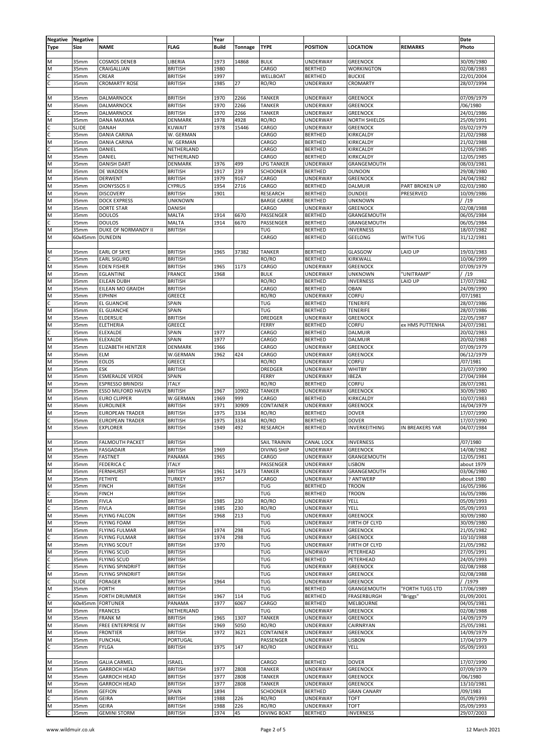| Negative | Negative     |                           |                | Year         |         |                     |                 |                      |                 | Date       |
|----------|--------------|---------------------------|----------------|--------------|---------|---------------------|-----------------|----------------------|-----------------|------------|
| Type     | Size         | <b>NAME</b>               | <b>FLAG</b>    | <b>Build</b> | Tonnage | <b>TYPE</b>         | <b>POSITION</b> | <b>LOCATION</b>      | <b>REMARKS</b>  | Photo      |
|          |              |                           |                |              |         |                     |                 |                      |                 |            |
|          |              |                           |                |              |         |                     |                 |                      |                 |            |
| M        | 35mm         | <b>COSMOS DENEB</b>       | LIBERIA        | 1973         | 14868   | <b>BULK</b>         | UNDERWAY        | <b>GREENOCK</b>      |                 | 30/09/1980 |
| M        | 35mm         | CRAIGALLIAN               | <b>BRITISH</b> | 1980         |         | CARGO               | <b>BERTHED</b>  | <b>WORKINGTON</b>    |                 | 02/08/1983 |
| Ċ        | 35mm         | CREAR                     | <b>BRITISH</b> | 1997         |         | WELLBOAT            | <b>BERTHED</b>  | <b>BUCKIE</b>        |                 | 22/01/2004 |
| С        | 35mm         | <b>CROMARTY ROSE</b>      | <b>BRITISH</b> | 1985         | 27      | RO/RO               | UNDERWAY        | CROMARTY             |                 | 28/07/1994 |
|          |              |                           |                |              |         |                     |                 |                      |                 |            |
|          |              |                           |                |              |         |                     |                 |                      |                 |            |
| M        | 35mm         | DALMARNOCK                | <b>BRITISH</b> | 1970         | 2266    | <b>TANKER</b>       | UNDERWAY        | <b>GREENOCK</b>      |                 | 07/09/1979 |
| M        | 35mm         | DALMARNOCK                | <b>BRITISH</b> | 1970         | 2266    | <b>TANKER</b>       | <b>UNDERWAY</b> | <b>GREENOCK</b>      |                 | /06/1980   |
| Ċ        | 35mm         | DALMARNOCK                | <b>BRITISH</b> | 1970         | 2266    | <b>TANKER</b>       | UNDERWAY        | <b>GREENOCK</b>      |                 | 24/01/1986 |
| M        | 35mm         | DANA MAXIMA               | DENMARK        | 1978         | 4928    | RO/RO               | UNDERWAY        | <b>NORTH SHIELDS</b> |                 | 25/09/1991 |
| Ċ        | <b>SLIDE</b> | DANAH                     | <b>KUWAIT</b>  | 1978         | 15446   | CARGO               | UNDERWAY        | <b>GREENOCK</b>      |                 | 03/02/1979 |
|          |              |                           |                |              |         |                     |                 |                      |                 |            |
| c        | 35mm         | DANIA CARINA              | W. GERMAN      |              |         | CARGO               | <b>BERTHED</b>  | KIRKCALDY            |                 | 21/02/1988 |
| M        | 35mm         | DANIA CARINA              | W. GERMAN      |              |         | CARGO               | <b>BERTHED</b>  | <b>KIRKCALDY</b>     |                 | 21/02/1988 |
| Ċ        | 35mm         | DANIEL                    | NETHERLAND     |              |         | CARGO               | <b>BERTHED</b>  | KIRKCALDY            |                 | 12/05/1985 |
| M        | 35mm         | DANIEL                    | NETHERLAND     |              |         | CARGO               | <b>BERTHED</b>  | KIRKCALDY            |                 | 12/05/1985 |
| M        | 35mm         | <b>DANISH DART</b>        | <b>DENMARK</b> | 1976         | 499     | <b>LPG TANKER</b>   | UNDERWAY        | GRANGEMOUTH          |                 | 08/03/1981 |
| M        | 35mm         | DE WADDEN                 | <b>BRITISH</b> | 1917         | 239     | <b>SCHOONER</b>     | <b>BERTHED</b>  | <b>DUNOON</b>        |                 | 29/08/1980 |
| M        | 35mm         | <b>DERWENT</b>            | <b>BRITISH</b> | 1979         | 9167    | CARGO               | UNDERWAY        | <b>GREENOCK</b>      |                 |            |
|          |              |                           |                |              |         |                     |                 |                      |                 | 24/04/1982 |
| M        | 35mm         | <b>DIONYSSOS II</b>       | <b>CYPRUS</b>  | 1954         | 2716    | CARGO               | <b>BERTHED</b>  | <b>DALMUIR</b>       | PART BROKEN UP  | 02/03/1980 |
| M        | 35mm         | <b>DISCOVERY</b>          | <b>BRITISH</b> | 1901         |         | <b>RESEARCH</b>     | <b>BERTHED</b>  | <b>DUNDEE</b>        | PRESERVED       | 10/09/1986 |
| M        | 35mm         | <b>DOCK EXPRESS</b>       | <b>UNKNOWN</b> |              |         | <b>BARGE CARRIE</b> | <b>BERTHED</b>  | <b>UNKNOWN</b>       |                 | /19        |
| M        | 35mm         | <b>DORTE STAR</b>         | <b>DANISH</b>  |              |         | CARGO               | UNDERWAY        | <b>GREENOCK</b>      |                 | 02/08/1988 |
| M        | 35mm         | <b>DOULOS</b>             | <b>MALTA</b>   | 1914         | 6670    | PASSENGER           | <b>BERTHED</b>  | GRANGEMOUTH          |                 | 06/05/1984 |
|          |              |                           |                |              |         |                     |                 |                      |                 |            |
| C        | 35mm         | <b>DOULOS</b>             | <b>MALTA</b>   | 1914         | 6670    | PASSENGER           | <b>BERTHED</b>  | GRANGEMOUTH          |                 | 06/05/1984 |
| M        | 35mm         | DUKE OF NORMANDY II       | <b>BRITISH</b> |              |         | <b>TUG</b>          | <b>BERTHED</b>  | <b>INVERNESS</b>     |                 | 18/07/1982 |
| M        | 60x45mm      | <b>DUNEDIN</b>            |                |              |         | CARGO               | <b>BERTHED</b>  | <b>GEELONG</b>       | WITH TUG        | 31/12/1981 |
|          |              |                           |                |              |         |                     |                 |                      |                 |            |
| M        | 35mm         | <b>EARL OF SKYE</b>       | <b>BRITISH</b> | 1965         | 37382   | <b>TANKER</b>       | <b>BERTHED</b>  | GLASGOW              | LAID UP         | 19/03/1983 |
|          |              |                           |                |              |         |                     | <b>BERTHED</b>  |                      |                 |            |
|          | 35mm         | <b>EARL SIGURD</b>        | <b>BRITISH</b> |              |         | RO/RO               |                 | KIRKWALL             |                 | 10/06/1999 |
| M        | 35mm         | <b>EDEN FISHER</b>        | <b>BRITISH</b> | 1965         | 1173    | CARGO               | <b>UNDERWAY</b> | <b>GREENOCK</b>      |                 | 07/09/1979 |
| N        | 35mm         | EGLANTINE                 | <b>FRANCE</b>  | 1968         |         | <b>BULK</b>         | UNDERWAY        | <b>UNKNOWN</b>       | "UNITRAMP"      | /19        |
| M        | 35mm         | EILEAN DUBH               | <b>BRITISH</b> |              |         | RO/RO               | <b>BERTHED</b>  | <b>INVERNESS</b>     | LAID UP         | 17/07/1982 |
| M        | 35mm         | EILEAN MO GRAIDH          | <b>BRITISH</b> |              |         | CARGO               | <b>BERTHED</b>  | <b>OBAN</b>          |                 | 24/09/1990 |
|          |              |                           |                |              |         |                     |                 |                      |                 |            |
| M        | 35mm         | <b>EIPHNH</b>             | <b>GREECE</b>  |              |         | RO/RO               | UNDERWAY        | CORFU                |                 | /07/1981   |
| С        | 35mm         | EL GUANCHE                | SPAIN          |              |         | <b>TUG</b>          | <b>BERTHED</b>  | <b>TENERIFE</b>      |                 | 28/07/1986 |
| M        | 35mm         | EL GUANCHE                | SPAIN          |              |         | <b>TUG</b>          | <b>BERTHED</b>  | <b>TENERIFE</b>      |                 | 28/07/1986 |
| M        | 35mm         | <b>ELDERSLIE</b>          | <b>BRITISH</b> |              |         | <b>DREDGER</b>      | UNDERWAY        | <b>GREENOCK</b>      |                 | 22/05/1987 |
| M        | 35mm         | <b>ELETHERIA</b>          | GREECE         |              |         | FERRY               | <b>BERTHED</b>  | CORFU                | ex HMS PUTTENHA | 24/07/1981 |
| Ċ        |              |                           |                |              |         | CARGO               | <b>BERTHED</b>  | <b>DALMUIR</b>       |                 |            |
|          | 35mm         | ELEXALDE                  | SPAIN          | 1977         |         |                     |                 |                      |                 | 20/02/1983 |
| M        | 35mm         | ELEXALDE                  | SPAIN          | 1977         |         | CARGO               | <b>BERTHED</b>  | <b>DALMUIR</b>       |                 | 20/02/1983 |
| M        | 35mm         | <b>ELIZABETH HENTZER</b>  | <b>DENMARK</b> | 1966         |         | CARGO               | UNDERWAY        | <b>GREENOCK</b>      |                 | 07/09/1979 |
| M        | 35mm         | <b>ELM</b>                | W.GERMAN       | 1962         | 424     | CARGO               | UNDERWAY        | <b>GREENOCK</b>      |                 | 06/12/1979 |
| M        | 35mm         | EOLOS                     | GREECE         |              |         | RO/RO               | UNDERWAY        | CORFU                |                 | /07/1981   |
| M        | 35mm         | ESK                       | <b>BRITISH</b> |              |         | <b>DREDGER</b>      | UNDERWAY        | WHITBY               |                 | 23/07/1990 |
|          |              |                           |                |              |         |                     |                 |                      |                 |            |
| M        | 35mm         | <b>ESMERALDE VERDE</b>    | SPAIN          |              |         | FERRY               | UNDERWAY        | <b>IBEZA</b>         |                 | 27/04/1984 |
| M        | 35mm         | ESPRESSO BRINDISI         | <b>ITALY</b>   |              |         | RO/RO               | <b>BERTHED</b>  | CORFU                |                 | 28/07/1981 |
| M        | 35mm         | <b>ESSO MILFORD HAVEN</b> | <b>BRITISH</b> | 1967         | 10902   | <b>TANKER</b>       | UNDERWAY        | <b>GREENOCK</b>      |                 | 30/09/1980 |
| M        | 35mm         | <b>EURO CLIPPER</b>       | W.GERMAN       | 1969         | 999     | CARGO               | <b>BERTHED</b>  | KIRKCALDY            |                 | 10/07/1983 |
| M        | 35mm         | <b>EUROLINER</b>          | <b>BRITISH</b> | 1971         | 30909   | CONTAINER           | UNDERWAY        | <b>GREENOCK</b>      |                 | 16/04/1979 |
|          |              |                           |                |              |         |                     |                 |                      |                 |            |
| M        | 35mm         | <b>EUROPEAN TRADER</b>    | <b>BRITISH</b> | 1975         | 3334    | RO/RO               | <b>BERTHED</b>  | <b>DOVER</b>         |                 | 17/07/1990 |
| Ċ        | 35mm         | <b>EUROPEAN TRADER</b>    | <b>BRITISH</b> | 1975         | 3334    | RO/RO               | <b>BERTHED</b>  | <b>DOVER</b>         |                 | 17/07/1990 |
| M        | 35mm         | <b>EXPLORER</b>           | <b>BRITISH</b> | 1949         | 492     | <b>RESEARCH</b>     | <b>BERTHED</b>  | INVERKEITHING        | IN BREAKERS YAR | 04/07/1984 |
|          |              |                           |                |              |         |                     |                 |                      |                 |            |
| M        | 35mm         | <b>FALMOUTH PACKET</b>    | <b>BRITISH</b> |              |         | <b>SAIL TRAININ</b> | CANAL LOCK      | <b>INVERNESS</b>     |                 | /07/1980   |
|          |              | <b>FASGADAIR</b>          |                |              |         |                     |                 |                      |                 | 14/08/1982 |
| M        | 35mm         |                           | <b>BRITISH</b> | 1969         |         | <b>DIVING SHIP</b>  | <b>UNDERWAY</b> | <b>GREENOCK</b>      |                 |            |
| M        | 35mm         | <b>FASTNET</b>            | PANAMA         | 1965         |         | CARGO               | UNDERWAY        | GRANGEMOUTH          |                 | 12/05/1981 |
| M        | 35mm         | <b>FEDERICA C</b>         | <b>ITALY</b>   |              |         | PASSENGER           | UNDERWAY        | <b>LISBON</b>        |                 | about 1979 |
| M        | 35mm         | <b>FERNHURST</b>          | <b>BRITISH</b> | 1961         | 1473    | <b>TANKER</b>       | UNDERWAY        | GRANGEMOUTH          |                 | 03/06/1980 |
| М        | 35mm         | FETHIYE                   | <b>TURKEY</b>  | 1957         |         | CARGO               | UNDERWAY        | ? ANTWERP            |                 | about 1980 |
| M        | 35mm         | <b>FINCH</b>              | <b>BRITISH</b> |              |         | <b>TUG</b>          | <b>BERTHED</b>  | <b>TROON</b>         |                 | 16/05/1986 |
| Ċ        |              |                           |                |              |         |                     |                 |                      |                 |            |
|          | 35mm         | <b>FINCH</b>              | <b>BRITISH</b> |              |         | <b>TUG</b>          | <b>BERTHED</b>  | <b>TROON</b>         |                 | 16/05/1986 |
| M        | 35mm         | <b>FIVLA</b>              | <b>BRITISH</b> | 1985         | 230     | RO/RO               | <b>UNDERWAY</b> | YELL                 |                 | 05/09/1993 |
| С        | 35mm         | <b>FIVLA</b>              | <b>BRITISH</b> | 1985         | 230     | RO/RO               | UNDERWAY        | YELL                 |                 | 05/09/1993 |
| M        | 35mm         | <b>FLYING FALCON</b>      | <b>BRITISH</b> | 1968         | 213     | <b>TUG</b>          | <b>UNDERWAY</b> | <b>GREENOCK</b>      |                 | 30/09/1980 |
| M        | 35mm         | <b>FLYING FOAM</b>        | <b>BRITISH</b> |              |         | <b>TUG</b>          | UNDERWAY        | FIRTH OF CLYD        |                 | 30/09/1980 |
| M        | 35mm         | <b>FLYING FULMAR</b>      | <b>BRITISH</b> | 1974         | 298     | <b>TUG</b>          | <b>UNDERWAY</b> | <b>GREENOCK</b>      |                 | 21/05/1982 |
| C        |              |                           |                |              |         |                     |                 |                      |                 |            |
|          | 35mm         | <b>FLYING FULMAR</b>      | <b>BRITISH</b> | 1974         | 298     | TUG                 | <b>UNDERWAY</b> | <b>GREENOCK</b>      |                 | 10/10/1988 |
| M        | 35mm         | <b>FLYING SCOUT</b>       | <b>BRITISH</b> | 1970         |         | <b>TUG</b>          | UNDERWAY        | FIRTH OF CLYD        |                 | 21/05/1982 |
| M        | 35mm         | <b>FLYING SCUD</b>        | <b>BRITISH</b> |              |         | <b>TUG</b>          | <b>UNDRWAY</b>  | PETERHEAD            |                 | 27/05/1991 |
| C        | 35mm         | <b>FLYING SCUD</b>        | <b>BRITISH</b> |              |         | TUG                 | <b>BERTHED</b>  | PETERHEAD            |                 | 24/05/1993 |
| C        | 35mm         | <b>FLYING SPINDRIFT</b>   | <b>BRITISH</b> |              |         | <b>TUG</b>          | <b>UNDERWAY</b> | <b>GREENOCK</b>      |                 | 02/08/1988 |
| M        | 35mm         | <b>FLYING SPINDRIFT</b>   | <b>BRITISH</b> |              |         | <b>TUG</b>          | UNDERWAY        | <b>GREENOCK</b>      |                 | 02/08/1988 |
|          |              |                           |                |              |         |                     |                 |                      |                 |            |
| C        | <b>SLIDE</b> | <b>FORAGER</b>            | <b>BRITISH</b> | 1964         |         | TUG                 | <b>UNDERWAY</b> | <b>GREENOCK</b>      |                 | / /1979    |
| M        | 35mm         | <b>FORTH</b>              | <b>BRITISH</b> |              |         | <b>TUG</b>          | <b>BERTHED</b>  | GRANGEMOUTH          | "FORTH TUGS LTD | 17/06/1989 |
| c        | 35mm         | FORTH DRUMMER             | <b>BRITISH</b> | 1967         | 114     | TUG                 | <b>BERTHED</b>  | FRASERBURGH          | "Briggs"        | 01/09/2001 |
| M        | 60x45mm      | <b>FORTUNER</b>           | PANAMA         | 1977         | 6067    | CARGO               | <b>BERTHED</b>  | MELBOURNE            |                 | 04/05/1981 |
| M        | 35mm         | <b>FRANCES</b>            | NETHERLAND     |              |         | TUG                 | UNDERWAY        | <b>GREENOCK</b>      |                 | 02/08/1988 |
|          |              |                           |                |              |         |                     |                 |                      |                 |            |
| M        | 35mm         | <b>FRANK M</b>            | <b>BRITISH</b> | 1965         | 1307    | <b>TANKER</b>       | <b>UNDERWAY</b> | <b>GREENOCK</b>      |                 | 14/09/1979 |
| M        | 35mm         | FREE ENTERPRISE IV        | <b>BRITISH</b> | 1969         | 5050    | RO/RO               | UNDERWAY        | CAIRNRYAN            |                 | 25/05/1981 |
| M        | 35mm         | <b>FRONTIER</b>           | <b>BRITISH</b> | 1972         | 3621    | CONTAINER           | UNDERWAY        | <b>GREENOCK</b>      |                 | 14/09/1979 |
| M        | 35mm         | <b>FUNCHAL</b>            | PORTUGAL       |              |         | PASSENGER           | UNDERWAY        | LISBON               |                 | 17/04/1979 |
| C        | 35mm         | <b>FYLGA</b>              | <b>BRITISH</b> | 1975         | 147     | RO/RO               | UNDERWAY        | YELL                 |                 | 05/09/1993 |
|          |              |                           |                |              |         |                     |                 |                      |                 |            |
|          |              |                           |                |              |         |                     |                 |                      |                 |            |
| M        | 35mm         | <b>GALIA CARMEL</b>       | <b>ISRAEL</b>  |              |         | CARGO               | <b>BERTHED</b>  | <b>DOVER</b>         |                 | 17/07/1990 |
| M        | 35mm         | <b>GARROCH HEAD</b>       | <b>BRITISH</b> | 1977         | 2808    | <b>TANKER</b>       | <b>UNDERWAY</b> | <b>GREENOCK</b>      |                 | 07/09/1979 |
| M        | 35mm         | GARROCH HEAD              | <b>BRITISH</b> | 1977         | 2808    | <b>TANKER</b>       | UNDERWAY        | <b>GREENOCK</b>      |                 | /06/1980   |
| M        | 35mm         | <b>GARROCH HEAD</b>       | <b>BRITISH</b> | 1977         | 2808    | <b>TANKER</b>       | <b>UNDERWAY</b> | <b>GREENOCK</b>      |                 | 13/10/1981 |
| M        | 35mm         | <b>GEFION</b>             | SPAIN          | 1894         |         | SCHOONER            | <b>BERTHED</b>  | <b>GRAN CANARY</b>   |                 | /09/1983   |
|          |              |                           |                |              |         |                     |                 |                      |                 |            |
| C        | 35mm         | <b>GEIRA</b>              | <b>BRITISH</b> | 1988         | 226     | RO/RO               | <b>UNDERWAY</b> | <b>TOFT</b>          |                 | 05/09/1993 |
| M        | 35mm         | GEIRA                     | <b>BRITISH</b> | 1988         | 226     | RO/RO               | UNDERWAY        | <b>TOFT</b>          |                 | 05/09/1993 |
| Ċ.       | 35mm         | <b>GEMINI STORM</b>       | <b>BRITISH</b> | 1974         | 45      | <b>DIVING BOAT</b>  | <b>BERTHED</b>  | <b>INVERNESS</b>     |                 | 29/07/2003 |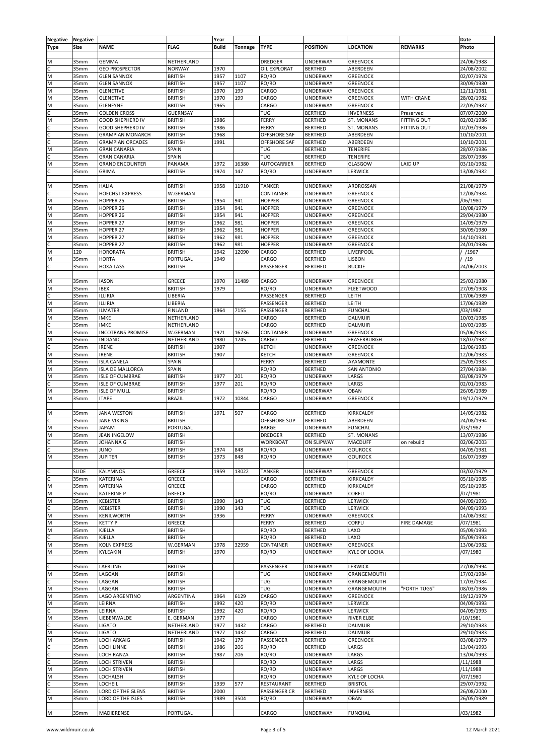| Negative | <b>Negative</b>  |                          |                 | Year         |         |                     |                   |                    |                    | Date       |
|----------|------------------|--------------------------|-----------------|--------------|---------|---------------------|-------------------|--------------------|--------------------|------------|
|          | Size             | <b>NAME</b>              | <b>FLAG</b>     | <b>Build</b> | Tonnage | <b>TYPE</b>         | <b>POSITION</b>   | LOCATION           | <b>REMARKS</b>     | Photo      |
| Type     |                  |                          |                 |              |         |                     |                   |                    |                    |            |
|          |                  |                          |                 |              |         |                     |                   |                    |                    |            |
| M        | 35mm             | <b>GEMMA</b>             | NETHERLAND      |              |         | <b>DREDGER</b>      | <b>UNDERWAY</b>   | <b>GREENOCK</b>    |                    | 24/06/1988 |
| c        | 35mm             | <b>GEO PROSPECTOR</b>    | <b>NORWAY</b>   | 1970         |         | OIL EXPLORAT        | <b>BERTHED</b>    | ABERDEEN           |                    | 24/08/2002 |
| M        | 35mm             | <b>GLEN SANNOX</b>       | <b>BRITISH</b>  | 1957         | 1107    | RO/RO               | UNDERWAY          | <b>GREENOCK</b>    |                    | 02/07/1978 |
| M        | 35mm             | <b>GLEN SANNOX</b>       | <b>BRITISH</b>  | 1957         | 1107    | RO/RO               | UNDERWAY          | <b>GREENOCK</b>    |                    | 30/09/1980 |
| M        |                  |                          |                 | 1970         | 199     | CARGO               |                   | <b>GREENOCK</b>    |                    |            |
|          | 35mm             | <b>GLENETIVE</b>         | <b>BRITISH</b>  |              |         |                     | UNDERWAY          |                    |                    | 12/11/1981 |
| M        | 35mm             | <b>GLENETIVE</b>         | <b>BRITISH</b>  | 1970         | 199     | CARGO               | UNDERWAY          | <b>GREENOCK</b>    | WITH CRANE         | 28/02/1982 |
| M        | 35mm             | <b>GLENFYNE</b>          | <b>BRITISH</b>  | 1965         |         | CARGO               | UNDERWAY          | <b>GREENOCK</b>    |                    | 22/05/1987 |
| C.       | 35mm             | <b>GOLDEN CROSS</b>      | <b>GUERNSAY</b> |              |         | <b>TUG</b>          | <b>BERTHED</b>    | <b>INVERNESS</b>   | Preserved          | 07/07/2000 |
| M        | 35mm             | GOOD SHEPHERD IV         | <b>BRITISH</b>  | 1986         |         | FERRY               | <b>BERTHED</b>    | ST. MONANS         | <b>FITTING OUT</b> | 02/03/1986 |
| Ċ        | 35mm             | GOOD SHEPHERD IV         | <b>BRITISH</b>  | 1986         |         | <b>FERRY</b>        | <b>BERTHED</b>    | <b>ST. MONANS</b>  | <b>FITTING OUT</b> | 02/03/1986 |
|          |                  |                          |                 |              |         |                     |                   |                    |                    |            |
| Ċ        | 35mm             | <b>GRAMPIAN MONARCH</b>  | <b>BRITISH</b>  | 1968         |         | <b>OFFSHORE SAF</b> | <b>BERTHED</b>    | ABERDEEN           |                    | 10/10/2001 |
| C        | 35mm             | <b>GRAMPIAN ORCADES</b>  | <b>BRITISH</b>  | 1991         |         | <b>OFFSHORE SAF</b> | <b>BERTHED</b>    | ABERDEEN           |                    | 10/10/2001 |
| M        | 35mm             | <b>GRAN CANARIA</b>      | SPAIN           |              |         | TUG                 | <b>BERTHED</b>    | <b>TENERIFE</b>    |                    | 28/07/1986 |
| c        | 35mm             | <b>GRAN CANARIA</b>      | SPAIN           |              |         | TUG                 | <b>BERTHED</b>    | <b>TENERIFE</b>    |                    | 28/07/1986 |
| M        | 35mm             | <b>GRAND ENCOUNTER</b>   | PANAMA          | 1972         | 16380   | <b>AUTOCARRIER</b>  | <b>BERTHED</b>    | GLASGOW            | LAID UP            | 03/10/1982 |
| Ċ        | 35mm             | <b>GRIMA</b>             | <b>BRITISH</b>  | 1974         | 147     | RO/RO               | UNDERWAY          | LERWICK            |                    | 13/08/1982 |
|          |                  |                          |                 |              |         |                     |                   |                    |                    |            |
|          |                  |                          |                 |              |         |                     |                   |                    |                    |            |
| M        | 35mm             | <b>HALIA</b>             | <b>BRITISH</b>  | 1958         | 11910   | <b>TANKER</b>       | <b>UNDERWAY</b>   | ARDROSSAN          |                    | 21/08/1979 |
| C.       | 35mm             | HOECHST EXPRESS          | W.GERMAN        |              |         | CONTAINER           | UNDERWAY          | <b>GREENOCK</b>    |                    | 12/08/1984 |
| M        | 35mm             | HOPPER 25                | <b>BRITISH</b>  | 1954         | 941     | <b>HOPPER</b>       | UNDERWAY          | <b>GREENOCK</b>    |                    | /06/1980   |
| M        | 35mm             | HOPPER 26                | <b>BRITISH</b>  | 1954         | 941     | <b>HOPPER</b>       | UNDERWAY          | <b>GREENOCK</b>    |                    | 10/08/1979 |
| M        | 35mm             | HOPPER 26                | <b>BRITISH</b>  | 1954         | 941     | <b>HOPPER</b>       | UNDERWAY          | <b>GREENOCK</b>    |                    | 29/04/1980 |
| M        | 35mm             | HOPPER 27                | <b>BRITISH</b>  | 1962         | 981     | <b>HOPPER</b>       | UNDERWAY          | <b>GREENOCK</b>    |                    | 14/09/1979 |
|          |                  |                          |                 |              |         |                     |                   |                    |                    |            |
| M        | 35mm             | HOPPER 27                | <b>BRITISH</b>  | 1962         | 981     | <b>HOPPER</b>       | UNDERWAY          | <b>GREENOCK</b>    |                    | 30/09/1980 |
| M        | 35mm             | HOPPER 27                | <b>BRITISH</b>  | 1962         | 981     | <b>HOPPER</b>       | <b>UNDERWAY</b>   | <b>GREENOCK</b>    |                    | 14/10/1981 |
| C.       | 35mm             | HOPPER 27                | <b>BRITISH</b>  | 1962         | 981     | <b>HOPPER</b>       | UNDERWAY          | <b>GREENOCK</b>    |                    | 24/01/1986 |
| N        | 120              | HORORATA                 | <b>BRITISH</b>  | 1942         | 12090   | CARGO               | <b>BERTHED</b>    | LIVERPOOL          |                    | / /1967    |
| M        | 35mm             | HORTA                    | PORTUGAL        | 1949         |         | CARGO               | <b>BERTHED</b>    | <b>LISBON</b>      |                    | /19        |
| C        | 35mm             | <b>HOXA LASS</b>         | <b>BRITISH</b>  |              |         | PASSENGER           | <b>BERTHED</b>    | <b>BUCKIE</b>      |                    | 24/06/2003 |
|          |                  |                          |                 |              |         |                     |                   |                    |                    |            |
|          |                  |                          |                 |              |         |                     |                   |                    |                    |            |
| M        | 35mm             | <b>IASON</b>             | GREECE          | 1970         | 11489   | CARGO               | <b>UNDERWAY</b>   | <b>GREENOCK</b>    |                    | 25/03/1980 |
| M        | 35mm             | <b>IBEX</b>              | <b>BRITISH</b>  | 1979         |         | RO/RO               | UNDERWAY          | <b>FLEETWOOD</b>   |                    | 27/09/1908 |
| C.       | 35mm             | ILLIRIA                  | LIBERIA         |              |         | PASSENGER           | <b>BERTHED</b>    | LEITH              |                    | 17/06/1989 |
| M        | 35mm             | ILLIRIA                  |                 |              |         | PASSENGER           |                   | LEITH              |                    | 17/06/1989 |
|          |                  |                          | LIBERIA         |              |         |                     | <b>BERTHED</b>    |                    |                    |            |
| M        | 35mm             | <b>ILMATER</b>           | <b>FINLAND</b>  | 1964         | 7155    | PASSENGER           | <b>BERTHED</b>    | <b>FUNCHAL</b>     |                    | /03/1982   |
| M        | 35mm             | <b>IMKE</b>              | NETHERLAND      |              |         | CARGO               | <b>BERTHED</b>    | DALMUIR            |                    | 10/03/1985 |
| C.       | 35mm             | <b>IMKE</b>              | NETHERLAND      |              |         | CARGO               | <b>BERTHED</b>    | DALMUIR            |                    | 10/03/1985 |
| M        | 35mm             | <b>INCOTRANS PROMISE</b> | W.GERMAN        | 1971         | 16736   | CONTAINER           | <b>UNDERWAY</b>   | <b>GREENOCK</b>    |                    | 05/06/1983 |
| M        | 35mm             | <b>INDIANIC</b>          | NETHERLAND      | 1980         | 1245    | CARGO               | <b>BERTHED</b>    | FRASERBURGH        |                    | 18/07/1982 |
|          |                  |                          |                 |              |         |                     |                   |                    |                    |            |
| C        | 35mm             | <b>IRENE</b>             | <b>BRITISH</b>  | 1907         |         | <b>KETCH</b>        | UNDERWAY          | <b>GREENOCK</b>    |                    | 12/06/1983 |
| M        | 35mm             | <b>IRENE</b>             | <b>BRITISH</b>  | 1907         |         | <b>KETCH</b>        | UNDERWAY          | <b>GREENOCK</b>    |                    | 12/06/1983 |
| M        | 35mm             | <b>ISLA CANELA</b>       | SPAIN           |              |         | FERRY               | <b>BERTHED</b>    | AYAMONTE           |                    | 25/05/1983 |
| M        | 35mm             | <b>ISLA DE MALLORCA</b>  | SPAIN           |              |         | RO/RO               | <b>BERTHED</b>    | <b>SAN ANTONIO</b> |                    | 27/04/1984 |
| M        | 35mm             | <b>ISLE OF CUMBRAE</b>   | <b>BRITISH</b>  | 1977         | 201     | RO/RO               | UNDERWAY          | LARGS              |                    | 03/08/1979 |
| C        | 35mm             | <b>ISLE OF CUMBRAE</b>   | <b>BRITISH</b>  | 1977         | 201     | RO/RO               | UNDERWAY          | LARGS              |                    | 02/01/1983 |
|          |                  |                          |                 |              |         |                     |                   |                    |                    |            |
| M        | 35mm             | <b>ISLE OF MULL</b>      | <b>BRITISH</b>  |              |         | RO/RO               | UNDERWAY          | <b>OBAN</b>        |                    | 26/05/1989 |
| M        | 35mm             | <b>ITAPE</b>             | <b>BRAZIL</b>   | 1972         | 10844   | CARGO               | UNDERWAY          | <b>GREENOCK</b>    |                    | 19/12/1979 |
|          |                  |                          |                 |              |         |                     |                   |                    |                    |            |
| M        | 35mm             | <b>JANA WESTON</b>       | <b>BRITISH</b>  | 1971         | 507     | CARGO               | <b>BERTHED</b>    | KIRKCALDY          |                    | 14/05/1982 |
|          | 35 <sub>mm</sub> | JANE VIKING              | <b>BRITISH</b>  |              |         | OFFSHORE SUP        | <b>BERTHED</b>    | ABERDEEN           |                    | 24/08/1994 |
| M        | 35mm             | <b>JAPAM</b>             | PORTUGAL        |              |         | <b>BARGE</b>        | <b>UNDERWAY</b>   | <b>FUNCHAL</b>     |                    | /03/1982   |
|          |                  | <b>JEAN INGELOW</b>      |                 |              |         |                     |                   | <b>ST. MONANS</b>  |                    | 13/07/1986 |
| M        | 35mm             |                          | <b>BRITISH</b>  |              |         | <b>DREDGER</b>      | <b>BERTHED</b>    |                    |                    |            |
| С        | 35mm             | JOHANNA G                | <b>BRITISH</b>  |              |         | <b>WORKBOAT</b>     | <b>ON SLIPWAY</b> | <b>MACDUFF</b>     | on rebuild         | 02/06/2003 |
| C        | 35mm             | JUNO                     | <b>BRITISH</b>  | 1974         | 848     | RO/RO               | <b>UNDERWAY</b>   | <b>GOUROCK</b>     |                    | 04/05/1981 |
| M        | 35mm             | <b>JUPITER</b>           | <b>BRITISH</b>  | 1973         | 848     | RO/RO               | UNDERWAY          | <b>GOUROCK</b>     |                    | 16/07/1989 |
|          |                  |                          |                 |              |         |                     |                   |                    |                    |            |
| C        | <b>SLIDE</b>     | <b>KALYMNOS</b>          | GREECE          | 1959         | 13022   | <b>TANKER</b>       | UNDERWAY          | <b>GREENOCK</b>    |                    | 03/02/1979 |
| C        |                  |                          |                 |              |         |                     |                   | KIRKCALDY          |                    | 05/10/1985 |
|          | 35mm             | KATERINA                 | GREECE          |              |         | CARGO               | <b>BERTHED</b>    |                    |                    |            |
| M        | 35mm             | KATERINA                 | GREECE          |              |         | CARGO               | <b>BERTHED</b>    | KIRKCALDY          |                    | 05/10/1985 |
| M        | 35mm             | <b>KATERINE P</b>        | <b>GREECE</b>   |              |         | RO/RO               | UNDERWAY          | CORFU              |                    | /07/1981   |
| M        | 35mm             | KEBISTER                 | <b>BRITISH</b>  | 1990         | 143     | TUG                 | <b>BERTHED</b>    | LERWICK            |                    | 04/09/1993 |
| С        | 35mm             | KEBISTER                 | <b>BRITISH</b>  | 1990         | 143     | TUG                 | <b>BERTHED</b>    | LERWICK            |                    | 04/09/1993 |
| M        | 35mm             | KENILWORTH               | <b>BRITISH</b>  | 1936         |         | FERRY               | <b>UNDERWAY</b>   | <b>GREENOCK</b>    |                    | 14/08/1982 |
| M        | 35mm             | KETTY P                  | GREECE          |              |         | <b>FERRY</b>        | <b>BERTHED</b>    | CORFU              | <b>FIRE DAMAGE</b> | /07/1981   |
|          |                  |                          | <b>BRITISH</b>  |              |         |                     |                   |                    |                    |            |
| M        | 35mm             | KJELLA                   |                 |              |         | RO/RO               | <b>BERTHED</b>    | LAXO               |                    | 05/09/1993 |
| c        | 35mm             | KJELLA                   | <b>BRITISH</b>  |              |         | RO/RO               | <b>BERTHED</b>    | LAXO               |                    | 05/09/1993 |
| M        | 35mm             | KOLN EXPRESS             | W.GERMAN        | 1978         | 32959   | CONTAINER           | <b>UNDERWAY</b>   | <b>GREENOCK</b>    |                    | 13/06/1982 |
| M        | 35mm             | KYLEAKIN                 | <b>BRITISH</b>  | 1970         |         | RO/RO               | UNDERWAY          | KYLE OF LOCHA      |                    | /07/1980   |
|          |                  |                          |                 |              |         |                     |                   |                    |                    |            |
| C        | 35mm             | LAERLING                 | <b>BRITISH</b>  |              |         | PASSENGER           | <b>UNDERWAY</b>   | LERWICK            |                    | 27/08/1994 |
| M        | 35mm             | LAGGAN                   | <b>BRITISH</b>  |              |         | TUG                 | UNDERWAY          | GRANGEMOUTH        |                    | 17/03/1984 |
|          |                  |                          |                 |              |         |                     |                   |                    |                    |            |
| C        | 35mm             | LAGGAN                   | <b>BRITISH</b>  |              |         | <b>TUG</b>          | UNDERWAY          | GRANGEMOUTH        |                    | 17/03/1984 |
| M        | 35mm             | LAGGAN                   | <b>BRITISH</b>  |              |         | TUG                 | UNDERWAY          | GRANGEMOUTH        | 'FORTH TUGS"       | 08/03/1986 |
| M        | 35mm             | LAGO ARGENTINO           | ARGENTINA       | 1964         | 6129    | CARGO               | UNDERWAY          | <b>GREENOCK</b>    |                    | 19/12/1979 |
| M        | 35mm             | LEIRNA                   | <b>BRITISH</b>  | 1992         | 420     | RO/RO               | UNDERWAY          | <b>LERWICK</b>     |                    | 04/09/1993 |
| C        | 35mm             | LEIRNA                   | <b>BRITISH</b>  | 1992         | 420     | RO/RO               | UNDERWAY          | LERWICK            |                    | 04/09/1993 |
| M        | 35mm             | LIEBENWALDE              | E. GERMAN       | 1977         |         | CARGO               | <b>UNDERWAY</b>   | RIVER ELBE         |                    | /10/1981   |
|          |                  |                          |                 |              |         |                     |                   |                    |                    |            |
| C        | 35mm             | LIGATO                   | NETHERLAND      | 1977         | 1432    | CARGO               | <b>BERTHED</b>    | <b>DALMUIR</b>     |                    | 29/10/1983 |
| M        | 35mm             | LIGATO                   | NETHERLAND      | 1977         | 1432    | CARGO               | <b>BERTHED</b>    | DALMUIR            |                    | 29/10/1983 |
| M        | 35mm             | LOCH ARKAIG              | <b>BRITISH</b>  | 1942         | 179     | PASSENGER           | <b>BERTHED</b>    | <b>GREENOCK</b>    |                    | 03/08/1979 |
| C        | 35mm             | LOCH LINNE               | <b>BRITISH</b>  | 1986         | 206     | RO/RO               | <b>BERTHED</b>    | LARGS              |                    | 13/04/1993 |
| C        | 35mm             | LOCH RANZA               | <b>BRITISH</b>  | 1987         | 206     | RO/RO               | <b>UNDERWAY</b>   | LARGS              |                    | 13/04/1993 |
| Ċ.       | 35mm             | LOCH STRIVEN             | <b>BRITISH</b>  |              |         | RO/RO               | UNDERWAY          | LARGS              |                    | /11/1988   |
|          |                  |                          |                 |              |         |                     |                   |                    |                    |            |
| M        | 35mm             | LOCH STRIVEN             | <b>BRITISH</b>  |              |         | RO/RO               | UNDERWAY          | LARGS              |                    | /11/1988   |
| M        | 35mm             | LOCHALSH                 | <b>BRITISH</b>  |              |         | RO/RO               | UNDERWAY          | KYLE OF LOCHA      |                    | /07/1980   |
| Ċ        | 35mm             | LOCHEIL                  | <b>BRITISH</b>  | 1939         | 577     | RESTAURANT          | <b>BERTHED</b>    | <b>BRISTOL</b>     |                    | 29/07/1992 |
| C        | 35mm             | LORD OF THE GLENS        | <b>BRITISH</b>  | 2000         |         | PASSENGER CR        | <b>BERTHED</b>    | <b>INVERNESS</b>   |                    | 26/08/2000 |
| Ν        | 35mm             | LORD OF THE ISLES        | <b>BRITISH</b>  | 1989         | 3504    | RO/RO               | <b>UNDERWAY</b>   | OBAN               |                    | 26/05/1989 |
|          |                  |                          |                 |              |         |                     |                   |                    |                    |            |
|          |                  |                          |                 |              |         |                     |                   |                    |                    |            |
| M        | 35mm             | MADIERENSE               | PORTUGAL        |              |         | CARGO               | UNDERWAY          | <b>FUNCHAL</b>     |                    | /03/1982   |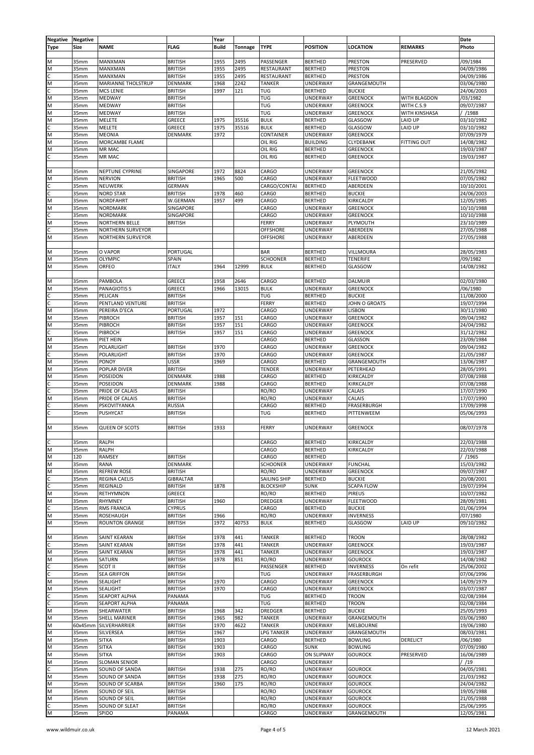| Negative | Negative |                           |                  | Year         |         |                     |                   |                   |                    | Date       |
|----------|----------|---------------------------|------------------|--------------|---------|---------------------|-------------------|-------------------|--------------------|------------|
| Type     | Size     | <b>NAME</b>               | <b>FLAG</b>      | <b>Build</b> | Tonnage | <b>TYPE</b>         | <b>POSITION</b>   | <b>LOCATION</b>   | <b>REMARKS</b>     | Photo      |
|          |          |                           |                  |              |         |                     |                   |                   |                    |            |
|          |          |                           |                  |              |         |                     |                   |                   |                    |            |
| M        | 35mm     | <b>MANXMAN</b>            | <b>BRITISH</b>   | 1955         | 2495    | PASSENGER           | <b>BERTHED</b>    | <b>PRESTON</b>    | PRESERVED          | /09/1984   |
| M        | 35mm     | MANXMAN                   | <b>BRITISH</b>   | 1955         | 2495    | RESTAURANT          | <b>BERTHED</b>    | <b>PRESTON</b>    |                    | 04/09/1986 |
| r        | 35mm     | MANXMAN                   | <b>BRITISH</b>   | 1955         | 2495    | RESTAURANT          | <b>BERTHED</b>    | <b>PRESTON</b>    |                    | 04/09/1986 |
| M        | 35mm     | <b>MARIANNE THOLSTRUP</b> | <b>DENMARK</b>   | 1968         | 2242    | <b>TANKER</b>       | UNDERWAY          | GRANGEMOUTH       |                    | 03/06/1980 |
|          |          |                           |                  |              |         |                     |                   |                   |                    |            |
| C        | 35mm     | <b>MCS LENIE</b>          | <b>BRITISH</b>   | 1997         | 121     | <b>TUG</b>          | <b>BERTHED</b>    | <b>BUCKIE</b>     |                    | 24/06/2003 |
| M        | 35mm     | MEDWAY                    | <b>BRITISH</b>   |              |         | <b>TUG</b>          | UNDERWAY          | <b>GREENOCK</b>   | WITH BLAGDON       | /03/1982   |
| M        | 35mm     | MEDWAY                    | <b>BRITISH</b>   |              |         | <b>TUG</b>          | UNDERWAY          | <b>GREENOCK</b>   | WITH C.S.9         | 09/07/1987 |
| M        | 35mm     | MEDWAY                    | <b>BRITISH</b>   |              |         | TUG                 | UNDERWAY          | <b>GREENOCK</b>   | WITH KINSHASA      | //1988     |
|          |          |                           |                  |              |         |                     |                   |                   |                    |            |
| M        | 35mm     | MELETE                    | GREECE           | 1975         | 35516   | <b>BULK</b>         | <b>BERTHED</b>    | GLASGOW           | LAID UP            | 03/10/1982 |
| Ċ        | 35mm     | MELETE                    | GREECE           | 1975         | 35516   | <b>BULK</b>         | <b>BERTHED</b>    | GLASGOW           | LAID UP            | 03/10/1982 |
| M        | 35mm     | MEONIA                    | <b>DENMARK</b>   | 1972         |         | CONTAINER           | UNDERWAY          | <b>GREENOCK</b>   |                    | 07/09/1979 |
| M        | 35mm     | MORCAMBE FLAME            |                  |              |         | OIL RIG             | <b>BUILDING</b>   | CLYDEBANK         | <b>FITTING OUT</b> | 14/08/1982 |
| M        | 35mm     | MR MAC                    |                  |              |         | OIL RIG             | <b>BERTHED</b>    | <b>GREENOCK</b>   |                    | 19/03/1987 |
|          |          |                           |                  |              |         |                     |                   |                   |                    |            |
| C        | 35mm     | MR MAC                    |                  |              |         | OIL RIG             | <b>BERTHED</b>    | <b>GREENOCK</b>   |                    | 19/03/1987 |
|          |          |                           |                  |              |         |                     |                   |                   |                    |            |
| N        | 35mm     | NEPTUNE CYPRINE           | SINGAPORE        | 1972         | 8824    | CARGO               | UNDERWAY          | <b>GREENOCK</b>   |                    | 21/05/1982 |
| M        | 35mm     | <b>NERVION</b>            | <b>BRITISH</b>   | 1965         | 500     | CARGO               | UNDERWAY          | <b>FLEETWOOD</b>  |                    | 07/05/1982 |
|          |          |                           |                  |              |         |                     |                   |                   |                    |            |
| C        | 35mm     | NEUWERK                   | <b>GERMAN</b>    |              |         | CARGO/CONTAI        | <b>BERTHED</b>    | ABERDEEN          |                    | 10/10/2001 |
| Ċ        | 35mm     | <b>NORD STAR</b>          | <b>BRITISH</b>   | 1978         | 460     | CARG0               | <b>BERTHED</b>    | <b>BUCKIE</b>     |                    | 24/06/2003 |
| M        | 35mm     | NORDFAHRT                 | W.GERMAN         | 1957         | 499     | CARGO               | <b>BERTHED</b>    | KIRKCALDY         |                    | 12/05/1985 |
| M        | 35mm     | <b>NORDMARK</b>           | SINGAPORE        |              |         | CARGO               | UNDERWAY          | <b>GREENOCK</b>   |                    | 10/10/1988 |
| C.       | 35mm     | <b>NORDMARK</b>           | SINGAPORE        |              |         | CARGO               | UNDERWAY          | <b>GREENOCK</b>   |                    | 10/10/1988 |
|          |          |                           |                  |              |         |                     |                   |                   |                    |            |
| M        | 35mm     | NORTHERN BELLE            | <b>BRITISH</b>   |              |         | FERRY               | UNDERWAY          | PLYMOUTH          |                    | 23/10/1989 |
| Ċ        | 35mm     | NORTHERN SURVEYOR         |                  |              |         | <b>OFFSHORE</b>     | UNDERWAY          | ABERDEEN          |                    | 27/05/1988 |
| M        | 35mm     | NORTHERN SURVEYOR         |                  |              |         | <b>OFFSHORE</b>     | UNDERWAY          | ABERDEEN          |                    | 27/05/1988 |
|          |          |                           |                  |              |         |                     |                   |                   |                    |            |
|          |          |                           |                  |              |         |                     |                   |                   |                    |            |
| M        | 35mm     | O VAPOR                   | PORTUGAL         |              |         | <b>BAR</b>          | <b>BERTHED</b>    | VILLMOURA         |                    | 28/05/1983 |
| M        | 35mm     | OLYMPIC                   | SPAIN            |              |         | <b>SCHOONER</b>     | <b>BERTHED</b>    | <b>TENERIFE</b>   |                    | /09/1982   |
| M        | 35mm     | ORFEO                     | <b>ITALY</b>     | 1964         | 12999   | <b>BULK</b>         | <b>BERTHED</b>    | GLASGOW           |                    | 14/08/1982 |
|          |          |                           |                  |              |         |                     |                   |                   |                    |            |
|          |          |                           |                  |              |         |                     |                   |                   |                    |            |
| M        | 35mm     | PAMBOLA                   | <b>GREECE</b>    | 1958         | 2646    | CARGO               | <b>BERTHED</b>    | <b>DALMUIR</b>    |                    | 02/03/1980 |
| M        | 35mm     | <b>PANAGIOTIS S</b>       | GREECE           | 1966         | 13015   | <b>BULK</b>         | UNDERWAY          | <b>GREENOCK</b>   |                    | /06/1980   |
| C.       | 35mm     | PELICAN                   | <b>BRITISH</b>   |              |         | <b>TUG</b>          | <b>BERTHED</b>    | <b>BUCKIE</b>     |                    | 11/08/2000 |
| С        | 35mm     | PENTLAND VENTURE          | <b>BRITISH</b>   |              |         | <b>FERRY</b>        | <b>BERTHED</b>    | JOHN O GROATS     |                    | 19/07/1994 |
|          |          |                           |                  |              |         |                     |                   |                   |                    |            |
| M        | 35mm     | PEREIRA D'ECA             | PORTUGAL         | 1972         |         | CARGO               | UNDERWAY          | LISBON            |                    | 30/11/1980 |
| M        | 35mm     | PIBROCH                   | <b>BRITISH</b>   | 1957         | 151     | CARGO               | UNDERWAY          | <b>GREENOCK</b>   |                    | 09/04/1982 |
| M        | 35mm     | PIBROCH                   | <b>BRITISH</b>   | 1957         | 151     | CARGO               | UNDERWAY          | <b>GREENOCK</b>   |                    | 24/04/1982 |
| Ċ        | 35mm     | PIBROCH                   | <b>BRITISH</b>   | 1957         | 151     | CARGO               | UNDERWAY          | <b>GREENOCK</b>   |                    | 31/12/1982 |
|          |          |                           |                  |              |         |                     |                   |                   |                    |            |
| M        | 35mm     | PIET HEIN                 |                  |              |         | CARGO               | <b>BERTHED</b>    | GLASSON           |                    | 23/09/1984 |
| M        | 35mm     | POLARLIGHT                | <b>BRITISH</b>   | 1970         |         | CARGO               | UNDERWAY          | <b>GREENOCK</b>   |                    | 09/04/1982 |
| C        | 35mm     | POLARLIGHT                | <b>BRITISH</b>   | 1970         |         | CARGO               | UNDERWAY          | <b>GREENOCK</b>   |                    | 21/05/1987 |
|          |          |                           |                  |              |         |                     |                   |                   |                    |            |
| M        | 35mm     | PONOY                     | <b>USSR</b>      | 1969         |         | CARGO               | <b>BERTHED</b>    | GRANGEMOUTH       |                    | 13/06/1987 |
| M        | 35mm     | POPLAR DIVER              | <b>BRITISH</b>   |              |         | <b>TENDER</b>       | UNDERWAY          | PETERHEAD         |                    | 28/05/1991 |
| M        | 35mm     | POSEIDON                  | <b>DENMARK</b>   | 1988         |         | CARGO               | <b>BERTHED</b>    | KIRKCALDY         |                    | 07/08/1988 |
| С        | 35mm     | POSEIDON                  | DENMARK          | 1988         |         | CARGO               | <b>BERTHED</b>    | KIRKCALDY         |                    | 07/08/1988 |
| Ċ        |          |                           |                  |              |         |                     |                   |                   |                    | 17/07/1990 |
|          | 35mm     | PRIDE OF CALAIS           | <b>BRITISH</b>   |              |         | RO/RO               | UNDERWAY          | CALAIS            |                    |            |
| M        | 35mm     | PRIDE OF CALAIS           | <b>BRITISH</b>   |              |         | RO/RO               | UNDERWAY          | CALAIS            |                    | 17/07/1990 |
| c        | 35mm     | PSKOVITYANKA              | <b>RUSSIA</b>    |              |         | CARGO               | <b>BERTHED</b>    | FRASERBURGH       |                    | 17/09/1998 |
| Ċ        | 35mm     | PUSHYCAT                  | <b>BRITISH</b>   |              |         | TUG                 | <b>BERTHED</b>    | PITTENWEEM        |                    | 05/06/1993 |
|          |          |                           |                  |              |         |                     |                   |                   |                    |            |
| M        | 35mm     | <b>QUEEN OF SCOTS</b>     | <b>BRITISH</b>   | 1933         |         | FERRY               | UNDERWAY          | <b>GREENOCK</b>   |                    | 08/07/1978 |
|          |          |                           |                  |              |         |                     |                   |                   |                    |            |
|          |          |                           |                  |              |         |                     |                   |                   |                    |            |
| C        | 35mm     | <b>RALPH</b>              |                  |              |         | CARGO               | <b>BERTHED</b>    | KIRKCALDY         |                    | 22/03/1988 |
| M        | 35mm     | <b>RALPH</b>              |                  |              |         | CARGO               | <b>BERTHED</b>    | KIRKCALDY         |                    | 22/03/1988 |
| M        | 120      | <b>RAMSEY</b>             | <b>BRITISH</b>   |              |         | CARGO               | <b>BERTHED</b>    |                   |                    | / 1965     |
|          |          |                           |                  |              |         |                     |                   |                   |                    |            |
| M        | 35mm     | RANA                      | <b>DENMARK</b>   |              |         | <b>SCHOONER</b>     | UNDERWAY          | <b>FUNCHAL</b>    |                    | 15/03/1982 |
| M        | 35mm     | <b>REFREW ROSE</b>        | <b>BRITISH</b>   |              |         | RO/RO               | UNDERWAY          | <b>GREENOCK</b>   |                    | 09/07/1987 |
| C.       | 35mm     | REGINA CAELIS             | <b>GIBRALTAR</b> |              |         | <b>SAILING SHIP</b> | <b>BERTHED</b>    | <b>BUCKIE</b>     |                    | 20/08/2001 |
| C        | 35mm     | REGINALD                  | <b>BRITISH</b>   | 1878         |         | <b>BLOCKSHIP</b>    | <b>SUNK</b>       | <b>SCAPA FLOW</b> |                    | 19/07/1994 |
| M        | 35mm     | RETHYMNON                 | GREECE           |              |         | RO/RO               | <b>BERTHED</b>    | <b>PIREUS</b>     |                    | 10/07/1982 |
|          |          |                           |                  |              |         |                     |                   |                   |                    |            |
| M        | 35mm     | RHYMNEY                   | <b>BRITISH</b>   | 1960         |         | <b>DREDGER</b>      | <b>UNDERWAY</b>   | <b>FLEETWOOD</b>  |                    | 28/09/1981 |
| C        | 35mm     | RMS FRANCIA               | <b>CYPRUS</b>    |              |         | CARGO               | <b>BERTHED</b>    | <b>BUCKIE</b>     |                    | 01/06/1994 |
| M        | 35mm     | <b>ROSEHAUGH</b>          | <b>BRITISH</b>   | 1966         |         | RO/RO               | UNDERWAY          | <b>INVERNESS</b>  |                    | /07/1980   |
| M        | 35mm     | <b>ROUNTON GRANGE</b>     | <b>BRITISH</b>   | 1972         | 40753   | <b>BULK</b>         | <b>BERTHED</b>    | GLASGOW           | LAID UP            | 09/10/1982 |
|          |          |                           |                  |              |         |                     |                   |                   |                    |            |
|          |          |                           |                  | 1978         |         |                     |                   |                   |                    |            |
| N        | 35mm     | SAINT KEARAN              | <b>BRITISH</b>   |              | 441     | <b>TANKER</b>       | <b>BERTHED</b>    | <b>TROON</b>      |                    | 28/08/1982 |
| c        | 35mm     | SAINT KEARAN              | <b>BRITISH</b>   | 1978         | 441     | <b>TANKER</b>       | <b>UNDERWAY</b>   | <b>GREENOCK</b>   |                    | 19/03/1987 |
| M        | 35mm     | SAINT KEARAN              | <b>BRITISH</b>   | 1978         | 441     | <b>TANKER</b>       | UNDERWAY          | <b>GREENOCK</b>   |                    | 19/03/1987 |
| M        | 35mm     | SATURN                    | <b>BRITISH</b>   | 1978         | 851     | RO/RO               | UNDERWAY          | <b>GOUROCK</b>    |                    | 14/08/1982 |
| C        | 35mm     | SCOT II                   | <b>BRITISH</b>   |              |         | PASSENGER           | <b>BERTHED</b>    | <b>INVERNESS</b>  | On refit           | 25/06/2002 |
|          |          |                           |                  |              |         |                     |                   |                   |                    |            |
| Ċ        | 35mm     | <b>SEA GRIFFON</b>        | <b>BRITISH</b>   |              |         | <b>TUG</b>          | UNDERWAY          | FRASERBURGH       |                    | 07/06/1996 |
| M        | 35mm     | SEALIGHT                  | <b>BRITISH</b>   | 1970         |         | CARGO               | <b>UNDERWAY</b>   | <b>GREENOCK</b>   |                    | 14/09/1979 |
| M        | 35mm     | SEALIGHT                  | <b>BRITISH</b>   | 1970         |         | CARGO               | UNDERWAY          | <b>GREENOCK</b>   |                    | 03/07/1987 |
| C        | 35mm     | SEAPORT ALPHA             | PANAMA           |              |         | <b>TUG</b>          | <b>BERTHED</b>    | <b>TROON</b>      |                    | 02/08/1984 |
| C        | 35mm     |                           |                  |              |         | <b>TUG</b>          |                   | <b>TROON</b>      |                    |            |
|          |          | SEAPORT ALPHA             | PANAMA           |              |         |                     | <b>BERTHED</b>    |                   |                    | 02/08/1984 |
| M        | 35mm     | SHEARWATER                | <b>BRITISH</b>   | 1968         | 342     | <b>DREDGER</b>      | <b>BERTHED</b>    | <b>BUCKIE</b>     |                    | 25/05/1993 |
| M        | 35mm     | SHELL MARINER             | <b>BRITISH</b>   | 1965         | 982     | <b>TANKER</b>       | <b>UNDERWAY</b>   | GRANGEMOUTH       |                    | 03/06/1980 |
| M        | 60x45mm  | SILVERHARRIER             | <b>BRITISH</b>   | 1970         | 4622    | <b>TANKER</b>       | UNDERWAY          | <b>MELBOURNE</b>  |                    | 19/06/1980 |
| M        | 35mm     | SILVERSEA                 | <b>BRITISH</b>   | 1967         |         | <b>LPG TANKER</b>   | UNDERWAY          | GRANGEMOUTH       |                    | 08/03/1981 |
|          |          |                           |                  |              |         |                     |                   |                   |                    |            |
| M        | 35mm     | <b>SITKA</b>              | <b>BRITISH</b>   | 1903         |         | CARGO               | <b>BERTHED</b>    | <b>BOWLING</b>    | DERELICT           | /06/1980   |
| M        | 35mm     | <b>SITKA</b>              | <b>BRITISH</b>   | 1903         |         | CARGO               | <b>SUNK</b>       | <b>BOWLING</b>    |                    | 07/09/1980 |
| M        | 35mm     | <b>SITKA</b>              | <b>BRITISH</b>   | 1903         |         | CARGO               | <b>ON SLIPWAY</b> | <b>GOUROCK</b>    | PRESERVED          | 16/06/1989 |
| M        | 35mm     | <b>SLOMAN SENIOR</b>      |                  |              |         | CARGO               | UNDERWAY          |                   |                    | / /19      |
|          |          |                           |                  |              |         |                     |                   |                   |                    |            |
| C        | 35mm     | SOUND OF SANDA            | <b>BRITISH</b>   | 1938         | 275     | RO/RO               | UNDERWAY          | <b>GOUROCK</b>    |                    | 04/05/1981 |
| M        | 35mm     | SOUND OF SANDA            | <b>BRITISH</b>   | 1938         | 275     | RO/RO               | UNDERWAY          | <b>GOUROCK</b>    |                    | 21/03/1982 |
| M        | 35mm     | SOUND OF SCARBA           | <b>BRITISH</b>   | 1960         | 175     | RO/RO               | UNDERWAY          | <b>GOUROCK</b>    |                    | 24/04/1982 |
| M        |          |                           |                  |              |         | RO/RO               |                   |                   |                    |            |
|          | 35mm     | SOUND OF SEIL             | <b>BRITISH</b>   |              |         |                     | UNDERWAY          | <b>GOUROCK</b>    |                    | 19/05/1988 |
| M        | 35mm     | SOUND OF SEIL             | <b>BRITISH</b>   |              |         | RO/RO               | UNDERWAY          | <b>GOUROCK</b>    |                    | 21/05/1988 |
| Ċ        | 35mm     | SOUND OF SLEAT            | <b>BRITISH</b>   |              |         | RO/RO               | UNDERWAY          | <b>GOUROCK</b>    |                    | 25/06/1995 |
| M        | 35mm     | SPIDO                     | PANAMA           |              |         | CARGO               | UNDERWAY          | GRANGEMOUTH       |                    | 12/05/1981 |